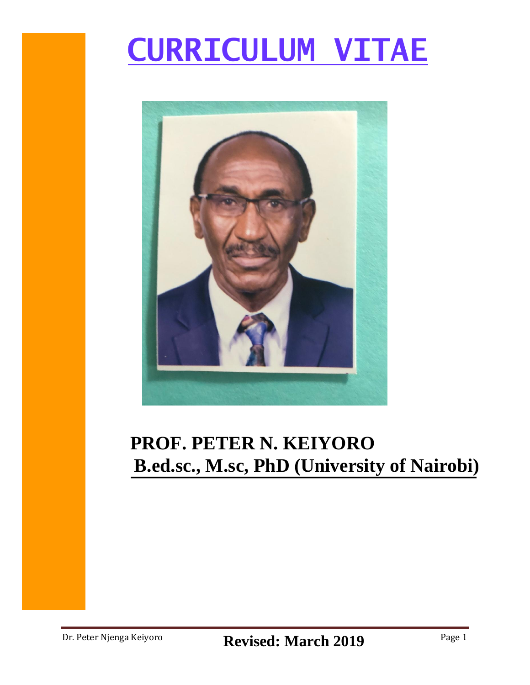# **CURRICULUM VITAE**



# **PROF. PETER N. KEIYORO B.ed.sc., M.sc, PhD (University of Nairobi)**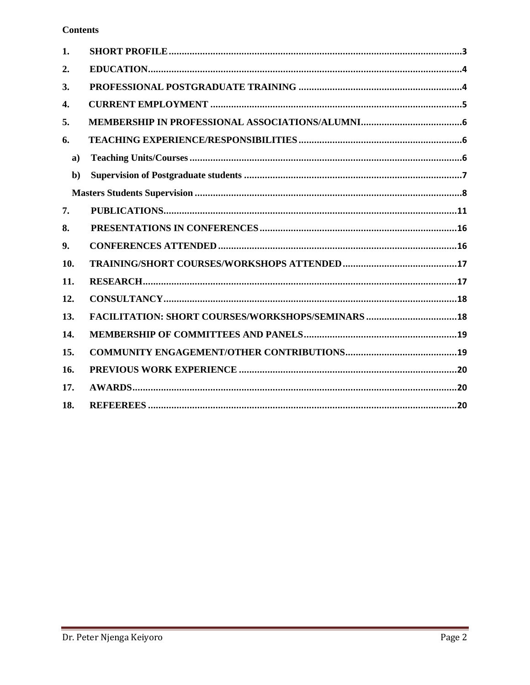#### **Contents**

| 1.           |                                                    |
|--------------|----------------------------------------------------|
| 2.           |                                                    |
| 3.           |                                                    |
| 4.           |                                                    |
| 5.           |                                                    |
| 6.           |                                                    |
| $\mathbf{a}$ |                                                    |
| $b$          |                                                    |
|              |                                                    |
| 7.           |                                                    |
| 8.           |                                                    |
| 9.           |                                                    |
| 10.          |                                                    |
| 11.          |                                                    |
| 12.          |                                                    |
| 13.          | FACILITATION: SHORT COURSES/WORKSHOPS/SEMINARS  18 |
| 14.          |                                                    |
| 15.          |                                                    |
| 16.          |                                                    |
| 17.          |                                                    |
| 18.          |                                                    |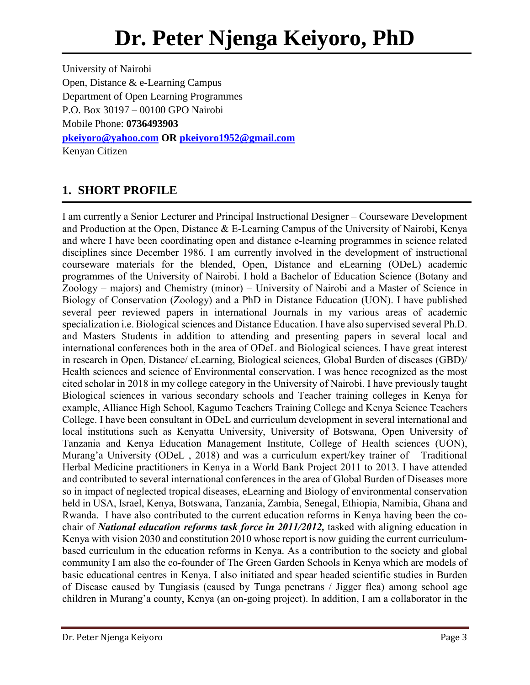University of Nairobi Open, Distance & e-Learning Campus Department of Open Learning Programmes P.O. Box 30197 – 00100 GPO Nairobi Mobile Phone: **0736493903 [pkeiyoro@yahoo.com](mailto:pkeiyoro@yahoo.com) OR [pkeiyoro1952@gmail.com](mailto:pkeiyoro@gmail.com)** Kenyan Citizen

# <span id="page-2-0"></span>**1. SHORT PROFILE**

I am currently a Senior Lecturer and Principal Instructional Designer – Courseware Development and Production at the Open, Distance & E-Learning Campus of the University of Nairobi, Kenya and where I have been coordinating open and distance e-learning programmes in science related disciplines since December 1986. I am currently involved in the development of instructional courseware materials for the blended, Open, Distance and eLearning (ODeL) academic programmes of the University of Nairobi. I hold a Bachelor of Education Science (Botany and Zoology – majors) and Chemistry (minor) – University of Nairobi and a Master of Science in Biology of Conservation (Zoology) and a PhD in Distance Education (UON). I have published several peer reviewed papers in international Journals in my various areas of academic specialization i.e. Biological sciences and Distance Education. I have also supervised several Ph.D. and Masters Students in addition to attending and presenting papers in several local and international conferences both in the area of ODeL and Biological sciences. I have great interest in research in Open, Distance/ eLearning, Biological sciences, Global Burden of diseases (GBD)/ Health sciences and science of Environmental conservation. I was hence recognized as the most cited scholar in 2018 in my college category in the University of Nairobi. I have previously taught Biological sciences in various secondary schools and Teacher training colleges in Kenya for example, Alliance High School, Kagumo Teachers Training College and Kenya Science Teachers College. I have been consultant in ODeL and curriculum development in several international and local institutions such as Kenyatta University, University of Botswana, Open University of Tanzania and Kenya Education Management Institute, College of Health sciences (UON), Murang'a University (ODeL , 2018) and was a curriculum expert/key trainer of Traditional Herbal Medicine practitioners in Kenya in a World Bank Project 2011 to 2013. I have attended and contributed to several international conferences in the area of Global Burden of Diseases more so in impact of neglected tropical diseases, eLearning and Biology of environmental conservation held in USA, Israel, Kenya, Botswana, Tanzania, Zambia, Senegal, Ethiopia, Namibia, Ghana and Rwanda. I have also contributed to the current education reforms in Kenya having been the cochair of *National education reforms task force in 2011/2012,* tasked with aligning education in Kenya with vision 2030 and constitution 2010 whose report is now guiding the current curriculumbased curriculum in the education reforms in Kenya. As a contribution to the society and global community I am also the co-founder of The Green Garden Schools in Kenya which are models of basic educational centres in Kenya. I also initiated and spear headed scientific studies in Burden of Disease caused by Tungiasis (caused by Tunga penetrans / Jigger flea) among school age children in Murang'a county, Kenya (an on-going project). In addition, I am a collaborator in the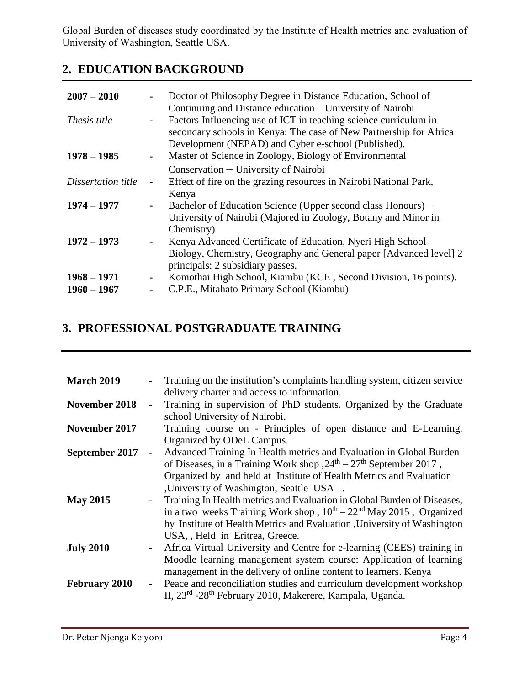Global Burden of diseases study coordinated by the Institute of Health metrics and evaluation of University of Washington, Seattle USA.

# <span id="page-3-0"></span>**2. EDUCATION BACKGROUND**

| $2007 - 2010$      |                | Doctor of Philosophy Degree in Distance Education, School of<br>Continuing and Distance education – University of Nairobi                                                                     |
|--------------------|----------------|-----------------------------------------------------------------------------------------------------------------------------------------------------------------------------------------------|
| Thesis title       | $\blacksquare$ | Factors Influencing use of ICT in teaching science curriculum in<br>secondary schools in Kenya: The case of New Partnership for Africa<br>Development (NEPAD) and Cyber e-school (Published). |
| $1978 - 1985$      |                | Master of Science in Zoology, Biology of Environmental                                                                                                                                        |
|                    |                | Conservation – University of Nairobi                                                                                                                                                          |
| Dissertation title | $\blacksquare$ | Effect of fire on the grazing resources in Nairobi National Park,                                                                                                                             |
|                    |                | Kenya                                                                                                                                                                                         |
| $1974 - 1977$      |                | Bachelor of Education Science (Upper second class Honours) –                                                                                                                                  |
|                    |                | University of Nairobi (Majored in Zoology, Botany and Minor in                                                                                                                                |
|                    |                | Chemistry)                                                                                                                                                                                    |
| $1972 - 1973$      |                | Kenya Advanced Certificate of Education, Nyeri High School –                                                                                                                                  |
|                    |                | Biology, Chemistry, Geography and General paper [Advanced level] 2<br>principals: 2 subsidiary passes.                                                                                        |
| $1968 - 1971$      | Ξ.             | Komothai High School, Kiambu (KCE, Second Division, 16 points).                                                                                                                               |
| $1960 - 1967$      |                | C.P.E., Mitahato Primary School (Kiambu)                                                                                                                                                      |
|                    |                |                                                                                                                                                                                               |

# <span id="page-3-1"></span>**3. PROFESSIONAL POSTGRADUATE TRAINING**

| <b>March 2019</b>    | Training on the institution's complaints handling system, citizen service            |
|----------------------|--------------------------------------------------------------------------------------|
|                      | delivery charter and access to information.                                          |
| November 2018        | Training in supervision of PhD students. Organized by the Graduate<br>$\blacksquare$ |
|                      | school University of Nairobi.                                                        |
| November 2017        | Training course on - Principles of open distance and E-Learning.                     |
|                      | Organized by ODeL Campus.                                                            |
| September 2017       | Advanced Training In Health metrics and Evaluation in Global Burden                  |
|                      | of Diseases, in a Training Work shop , $24th - 27th$ September 2017,                 |
|                      | Organized by and held at Institute of Health Metrics and Evaluation                  |
|                      | , University of Washington, Seattle USA.                                             |
| <b>May 2015</b>      | Training In Health metrics and Evaluation in Global Burden of Diseases,              |
|                      | in a two weeks Training Work shop, $10^{th} - 22^{nd}$ May 2015, Organized           |
|                      | by Institute of Health Metrics and Evaluation , University of Washington             |
|                      | USA, , Held in Eritrea, Greece.                                                      |
| <b>July 2010</b>     | Africa Virtual University and Centre for e-learning (CEES) training in               |
|                      | Moodle learning management system course: Application of learning                    |
|                      | management in the delivery of online content to learners. Kenya                      |
| <b>February 2010</b> | Peace and reconciliation studies and curriculum development workshop                 |
|                      | II, 23 <sup>rd</sup> -28 <sup>th</sup> February 2010, Makerere, Kampala, Uganda.     |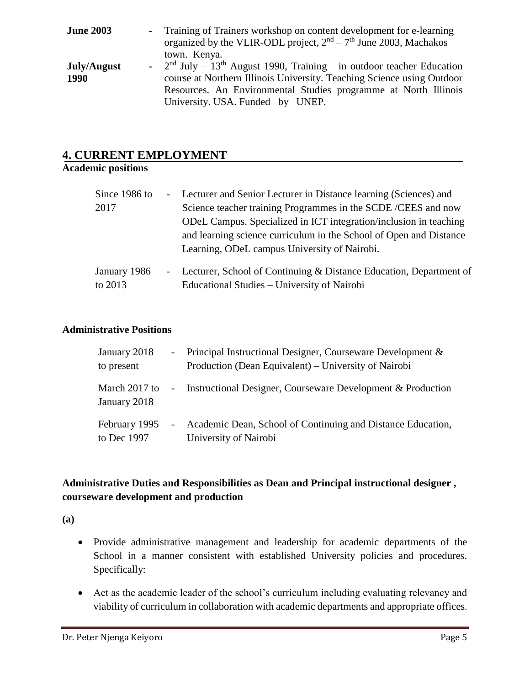| <b>June 2003</b> | - Training of Trainers workshop on content development for e-learning              |
|------------------|------------------------------------------------------------------------------------|
|                  | organized by the VLIR-ODL project, $2nd - 7th$ June 2003, Machakos                 |
|                  | town. Kenya.                                                                       |
| July/August      | - $2nd$ July – 13 <sup>th</sup> August 1990, Training in outdoor teacher Education |
| 1990             | course at Northern Illinois University. Teaching Science using Outdoor             |
|                  | Resources. An Environmental Studies programme at North Illinois                    |
|                  | University. USA. Funded by UNEP.                                                   |

#### <span id="page-4-0"></span>**4. CURRENT EMPLOYMENT**

#### **Academic positions**

| Since 1986 to           | - Lecturer and Senior Lecturer in Distance learning (Sciences) and                                                  |
|-------------------------|---------------------------------------------------------------------------------------------------------------------|
| 2017                    | Science teacher training Programmes in the SCDE/CEES and now                                                        |
|                         | ODeL Campus. Specialized in ICT integration/inclusion in teaching                                                   |
|                         | and learning science curriculum in the School of Open and Distance                                                  |
|                         | Learning, ODeL campus University of Nairobi.                                                                        |
| January 1986<br>to 2013 | - Lecturer, School of Continuing & Distance Education, Department of<br>Educational Studies – University of Nairobi |

#### **Administrative Positions**

| January 2018<br>to present    | $\sim$     | Principal Instructional Designer, Courseware Development &<br>Production (Dean Equivalent) – University of Nairobi |
|-------------------------------|------------|--------------------------------------------------------------------------------------------------------------------|
| March 2017 to<br>January 2018 | $\sim$     | Instructional Designer, Courseware Development & Production                                                        |
| February 1995<br>to Dec 1997  | $\sim$ $-$ | Academic Dean, School of Continuing and Distance Education,<br>University of Nairobi                               |

#### **Administrative Duties and Responsibilities as Dean and Principal instructional designer , courseware development and production**

**(a)**

- Provide administrative management and leadership for academic departments of the School in a manner consistent with established University policies and procedures. Specifically:
- Act as the academic leader of the school's curriculum including evaluating relevancy and viability of curriculum in collaboration with academic departments and appropriate offices.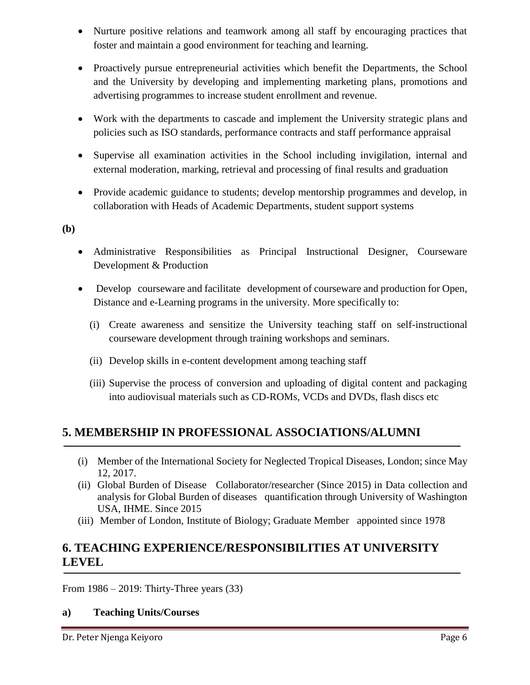- Nurture positive relations and teamwork among all staff by encouraging practices that foster and maintain a good environment for teaching and learning.
- Proactively pursue entrepreneurial activities which benefit the Departments, the School and the University by developing and implementing marketing plans, promotions and advertising programmes to increase student enrollment and revenue.
- Work with the departments to cascade and implement the University strategic plans and policies such as ISO standards, performance contracts and staff performance appraisal
- Supervise all examination activities in the School including invigilation, internal and external moderation, marking, retrieval and processing of final results and graduation
- Provide academic guidance to students; develop mentorship programmes and develop, in collaboration with Heads of Academic Departments, student support systems

**(b)**

- Administrative Responsibilities as Principal Instructional Designer, Courseware Development & Production
- Develop courseware and facilitate development of courseware and production for Open, Distance and e-Learning programs in the university. More specifically to:
	- (i) Create awareness and sensitize the University teaching staff on self-instructional courseware development through training workshops and seminars.
	- (ii) Develop skills in e-content development among teaching staff
	- (iii) Supervise the process of conversion and uploading of digital content and packaging into audiovisual materials such as CD-ROMs, VCDs and DVDs, flash discs etc

# <span id="page-5-0"></span>**5. MEMBERSHIP IN PROFESSIONAL ASSOCIATIONS/ALUMNI**

- (i) Member of the International Society for Neglected Tropical Diseases, London; since May 12, 2017.
- (ii) Global Burden of Disease Collaborator/researcher (Since 2015) in Data collection and analysis for Global Burden of diseases quantification through University of Washington USA, IHME. Since 2015
- (iii) Member of London, Institute of Biology; Graduate Member appointed since 1978

## <span id="page-5-1"></span>**6. TEACHING EXPERIENCE/RESPONSIBILITIES AT UNIVERSITY LEVEL**

From 1986 – 2019: Thirty-Three years (33)

#### <span id="page-5-2"></span>**a) Teaching Units/Courses**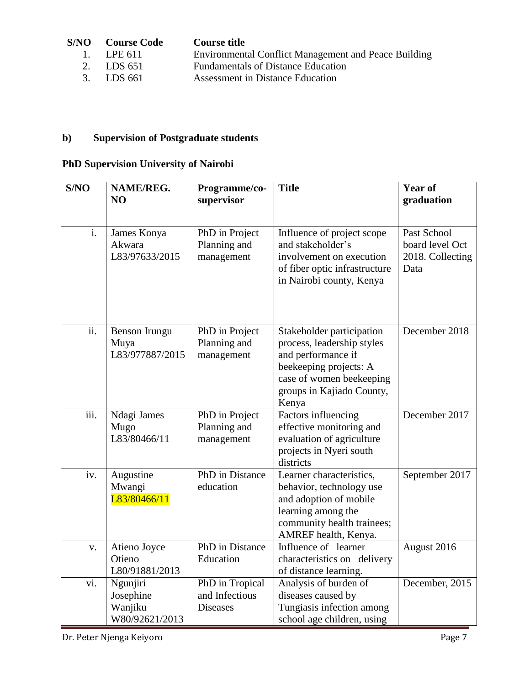| S/NO- | <b>Course Code</b> | Course title                                                |
|-------|--------------------|-------------------------------------------------------------|
|       | 1. <b>LPE 611</b>  | <b>Environmental Conflict Management and Peace Building</b> |
|       | 2. LDS 651         | <b>Fundamentals of Distance Education</b>                   |
|       | 3. LDS 661         | Assessment in Distance Education                            |

# <span id="page-6-0"></span>**b) Supervision of Postgraduate students**

# **PhD Supervision University of Nairobi**

| S/NO                      | NAME/REG.<br>N <sub>O</sub>                        | Programme/co-<br>supervisor                          | <b>Title</b>                                                                                                                                                              | <b>Year of</b><br>graduation                               |
|---------------------------|----------------------------------------------------|------------------------------------------------------|---------------------------------------------------------------------------------------------------------------------------------------------------------------------------|------------------------------------------------------------|
|                           |                                                    |                                                      |                                                                                                                                                                           |                                                            |
| $\overline{\mathbf{i}}$ . | James Konya<br>Akwara<br>L83/97633/2015            | PhD in Project<br>Planning and<br>management         | Influence of project scope<br>and stakeholder's<br>involvement on execution<br>of fiber optic infrastructure<br>in Nairobi county, Kenya                                  | Past School<br>board level Oct<br>2018. Collecting<br>Data |
| ii.                       | Benson Irungu<br>Muya<br>L83/977887/2015           | PhD in Project<br>Planning and<br>management         | Stakeholder participation<br>process, leadership styles<br>and performance if<br>beekeeping projects: A<br>case of women beekeeping<br>groups in Kajiado County,<br>Kenya | December 2018                                              |
| $\overline{\text{iii}}$ . | Ndagi James<br>Mugo<br>L83/80466/11                | PhD in Project<br>Planning and<br>management         | Factors influencing<br>effective monitoring and<br>evaluation of agriculture<br>projects in Nyeri south<br>districts                                                      | December 2017                                              |
| iv.                       | Augustine<br>Mwangi<br>L83/80466/11                | <b>PhD</b> in Distance<br>education                  | Learner characteristics,<br>behavior, technology use<br>and adoption of mobile<br>learning among the<br>community health trainees;<br>AMREF health, Kenya.                | September 2017                                             |
| V.                        | Atieno Joyce<br>Otieno<br>L80/91881/2013           | PhD in Distance<br>Education                         | Influence of learner<br>characteristics on delivery<br>of distance learning.                                                                                              | August 2016                                                |
| vi.                       | Ngunjiri<br>Josephine<br>Wanjiku<br>W80/92621/2013 | PhD in Tropical<br>and Infectious<br><b>Diseases</b> | Analysis of burden of<br>diseases caused by<br>Tungiasis infection among<br>school age children, using                                                                    | December, 2015                                             |

Dr. Peter Njenga Keiyoro Page 7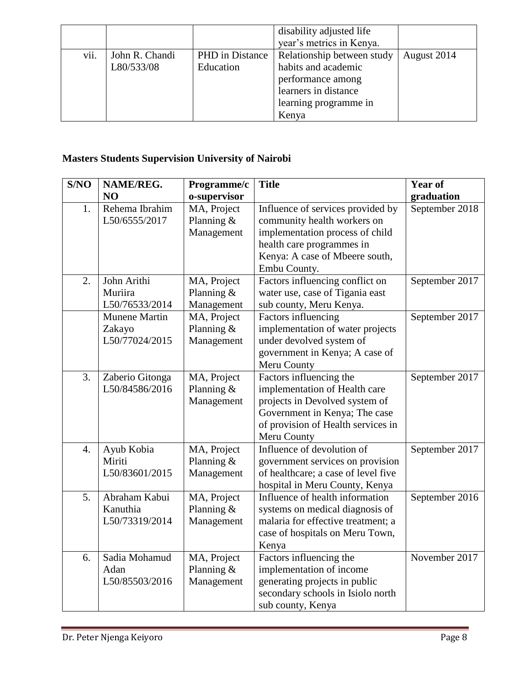|      |                |                 | disability adjusted life<br>year's metrics in Kenya. |             |
|------|----------------|-----------------|------------------------------------------------------|-------------|
| vii. | John R. Chandi | PHD in Distance | Relationship between study                           | August 2014 |
|      | L80/533/08     | Education       | habits and academic                                  |             |
|      |                |                 | performance among                                    |             |
|      |                |                 | learners in distance                                 |             |
|      |                |                 | learning programme in                                |             |
|      |                |                 | Kenya                                                |             |

# <span id="page-7-0"></span>**Masters Students Supervision University of Nairobi**

| S/NO             | NAME/REG.            | Programme/c  | <b>Title</b>                        | <b>Year of</b> |
|------------------|----------------------|--------------|-------------------------------------|----------------|
|                  | N <sub>O</sub>       | o-supervisor |                                     | graduation     |
| 1.               | Rehema Ibrahim       | MA, Project  | Influence of services provided by   | September 2018 |
|                  | L50/6555/2017        | Planning $&$ | community health workers on         |                |
|                  |                      | Management   | implementation process of child     |                |
|                  |                      |              | health care programmes in           |                |
|                  |                      |              | Kenya: A case of Mbeere south,      |                |
|                  |                      |              | Embu County.                        |                |
| 2.               | John Arithi          | MA, Project  | Factors influencing conflict on     | September 2017 |
|                  | Muriira              | Planning $&$ | water use, case of Tigania east     |                |
|                  | L50/76533/2014       | Management   | sub county, Meru Kenya.             |                |
|                  | <b>Munene Martin</b> | MA, Project  | Factors influencing                 | September 2017 |
|                  | Zakayo               | Planning $&$ | implementation of water projects    |                |
|                  | L50/77024/2015       | Management   | under devolved system of            |                |
|                  |                      |              | government in Kenya; A case of      |                |
|                  |                      |              | Meru County                         |                |
| 3.               | Zaberio Gitonga      | MA, Project  | Factors influencing the             | September 2017 |
|                  | L50/84586/2016       | Planning $&$ | implementation of Health care       |                |
|                  |                      | Management   | projects in Devolved system of      |                |
|                  |                      |              | Government in Kenya; The case       |                |
|                  |                      |              | of provision of Health services in  |                |
|                  |                      |              | Meru County                         |                |
| $\overline{4}$ . | Ayub Kobia           | MA, Project  | Influence of devolution of          | September 2017 |
|                  | Miriti               | Planning $&$ | government services on provision    |                |
|                  | L50/83601/2015       | Management   | of healthcare; a case of level five |                |
|                  |                      |              | hospital in Meru County, Kenya      |                |
| 5.               | Abraham Kabui        | MA, Project  | Influence of health information     | September 2016 |
|                  | Kanuthia             | Planning &   | systems on medical diagnosis of     |                |
|                  | L50/73319/2014       | Management   | malaria for effective treatment; a  |                |
|                  |                      |              | case of hospitals on Meru Town,     |                |
|                  |                      |              | Kenya                               |                |
| 6.               | Sadia Mohamud        | MA, Project  | Factors influencing the             | November 2017  |
|                  | Adan                 | Planning $&$ | implementation of income            |                |
|                  | L50/85503/2016       | Management   | generating projects in public       |                |
|                  |                      |              | secondary schools in Isiolo north   |                |
|                  |                      |              | sub county, Kenya                   |                |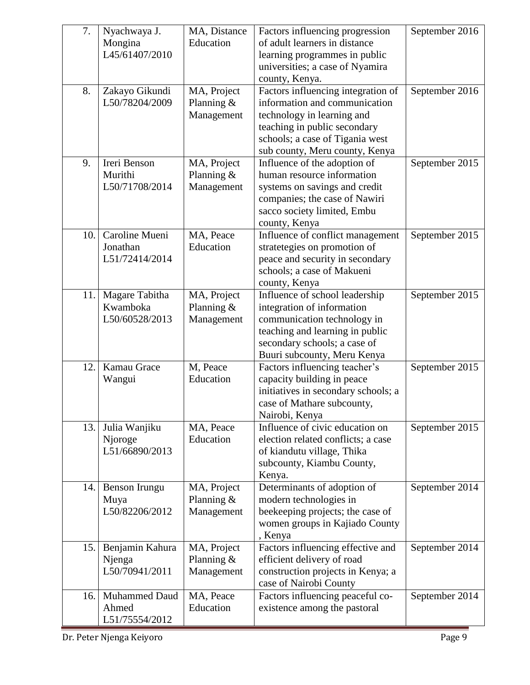| 7.  | Nyachwaya J.<br>Mongina<br>L45/61407/2010       | MA, Distance<br>Education                 | Factors influencing progression<br>of adult learners in distance<br>learning programmes in public<br>universities; a case of Nyamira<br>county, Kenya.                                                 | September 2016 |
|-----|-------------------------------------------------|-------------------------------------------|--------------------------------------------------------------------------------------------------------------------------------------------------------------------------------------------------------|----------------|
| 8.  | Zakayo Gikundi<br>L50/78204/2009                | MA, Project<br>Planning $&$<br>Management | Factors influencing integration of<br>information and communication<br>technology in learning and<br>teaching in public secondary<br>schools; a case of Tigania west<br>sub county, Meru county, Kenya | September 2016 |
| 9.  | Ireri Benson<br>Murithi<br>L50/71708/2014       | MA, Project<br>Planning $&$<br>Management | Influence of the adoption of<br>human resource information<br>systems on savings and credit<br>companies; the case of Nawiri<br>sacco society limited, Embu<br>county, Kenya                           | September 2015 |
| 10. | Caroline Mueni<br>Jonathan<br>L51/72414/2014    | MA, Peace<br>Education                    | Influence of conflict management<br>stratetegies on promotion of<br>peace and security in secondary<br>schools; a case of Makueni<br>county, Kenya                                                     | September 2015 |
| 11. | Magare Tabitha<br>Kwamboka<br>L50/60528/2013    | MA, Project<br>Planning &<br>Management   | Influence of school leadership<br>integration of information<br>communication technology in<br>teaching and learning in public<br>secondary schools; a case of<br>Buuri subcounty, Meru Kenya          | September 2015 |
| 12. | Kamau Grace<br>Wangui                           | M, Peace<br>Education                     | Factors influencing teacher's<br>capacity building in peace<br>initiatives in secondary schools; a<br>case of Mathare subcounty,<br>Nairobi, Kenya                                                     | September 2015 |
| 13. | Julia Wanjiku<br>Njoroge<br>L51/66890/2013      | MA, Peace<br>Education                    | Influence of civic education on<br>election related conflicts; a case<br>of kiandutu village, Thika<br>subcounty, Kiambu County,<br>Kenya.                                                             | September 2015 |
|     | 14. Benson Irungu<br>Muya<br>L50/82206/2012     | MA, Project<br>Planning $&$<br>Management | Determinants of adoption of<br>modern technologies in<br>beekeeping projects; the case of<br>women groups in Kajiado County<br>, Kenya                                                                 | September 2014 |
| 15. | Benjamin Kahura<br>Njenga<br>L50/70941/2011     | MA, Project<br>Planning $&$<br>Management | Factors influencing effective and<br>efficient delivery of road<br>construction projects in Kenya; a<br>case of Nairobi County                                                                         | September 2014 |
| 16. | <b>Muhammed Daud</b><br>Ahmed<br>L51/75554/2012 | MA, Peace<br>Education                    | Factors influencing peaceful co-<br>existence among the pastoral                                                                                                                                       | September 2014 |

Dr. Peter Njenga Keiyoro Page 9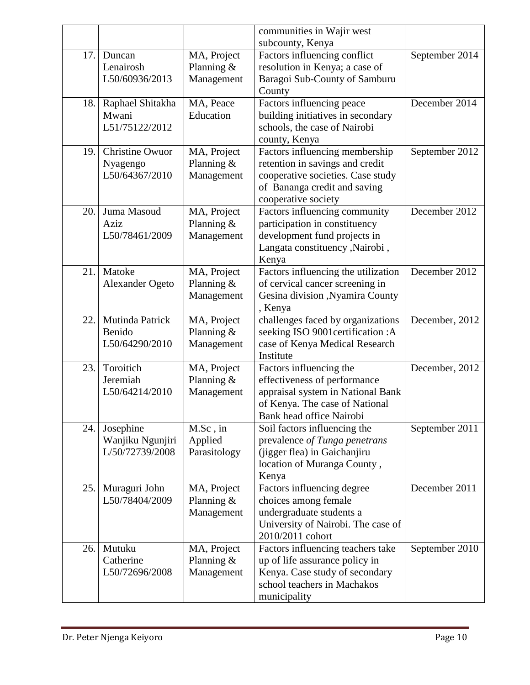|     |                         |               | communities in Wajir west                                     |                |
|-----|-------------------------|---------------|---------------------------------------------------------------|----------------|
|     |                         |               | subcounty, Kenya                                              |                |
| 17. | Duncan                  | MA, Project   | Factors influencing conflict                                  | September 2014 |
|     | Lenairosh               | Planning $&$  | resolution in Kenya; a case of                                |                |
|     | L50/60936/2013          | Management    | Baragoi Sub-County of Samburu                                 |                |
|     |                         |               | County                                                        |                |
| 18. | Raphael Shitakha        | MA, Peace     | Factors influencing peace                                     | December 2014  |
|     | Mwani<br>L51/75122/2012 | Education     | building initiatives in secondary                             |                |
|     |                         |               | schools, the case of Nairobi                                  |                |
| 19. | <b>Christine Owuor</b>  | MA, Project   | county, Kenya<br>Factors influencing membership               | September 2012 |
|     | Nyagengo                | Planning $&$  | retention in savings and credit                               |                |
|     | L50/64367/2010          | Management    | cooperative societies. Case study                             |                |
|     |                         |               | of Bananga credit and saving                                  |                |
|     |                         |               | cooperative society                                           |                |
| 20. | Juma Masoud             | MA, Project   | Factors influencing community                                 | December 2012  |
|     | Aziz                    | Planning $&$  | participation in constituency                                 |                |
|     | L50/78461/2009          | Management    | development fund projects in                                  |                |
|     |                         |               | Langata constituency , Nairobi,                               |                |
|     |                         |               | Kenya                                                         |                |
| 21. | Matoke                  | MA, Project   | Factors influencing the utilization                           | December 2012  |
|     | <b>Alexander Ogeto</b>  | Planning $&$  | of cervical cancer screening in                               |                |
|     |                         | Management    | Gesina division , Nyamira County                              |                |
|     |                         |               | , Kenya                                                       |                |
| 22. | Mutinda Patrick         | MA, Project   | challenges faced by organizations                             | December, 2012 |
|     | Benido                  | Planning $&$  | seeking ISO 9001certification:A                               |                |
|     | L50/64290/2010          | Management    | case of Kenya Medical Research<br>Institute                   |                |
| 23. | Toroitich               | MA, Project   | Factors influencing the                                       | December, 2012 |
|     | Jeremiah                | Planning $&$  | effectiveness of performance                                  |                |
|     | L50/64214/2010          | Management    | appraisal system in National Bank                             |                |
|     |                         |               | of Kenya. The case of National                                |                |
|     |                         |               | Bank head office Nairobi                                      |                |
| 24. | Josephine               | M.Sc, in      | Soil factors influencing the                                  | September 2011 |
|     | Wanjiku Ngunjiri        | Applied       | prevalence of Tunga penetrans                                 |                |
|     | L/50/72739/2008         | Parasitology  | (jigger flea) in Gaichanjiru                                  |                |
|     |                         |               | location of Muranga County,                                   |                |
|     |                         |               | Kenya                                                         |                |
| 25. | Muraguri John           | MA, Project   | Factors influencing degree                                    | December 2011  |
|     | L50/78404/2009          | Planning $&$  | choices among female                                          |                |
|     |                         | Management    | undergraduate students a                                      |                |
|     |                         |               | University of Nairobi. The case of                            |                |
|     |                         |               | 2010/2011 cohort                                              |                |
| 26. | Mutuku                  | MA, Project   | Factors influencing teachers take                             | September 2010 |
|     | Catherine               | Planning $\&$ | up of life assurance policy in                                |                |
|     | L50/72696/2008          | Management    | Kenya. Case study of secondary<br>school teachers in Machakos |                |
|     |                         |               |                                                               |                |
|     |                         |               | municipality                                                  |                |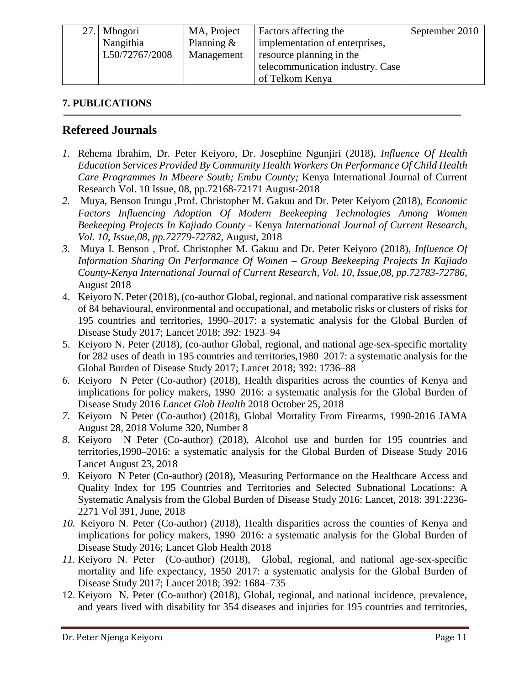| 27. Mbogori    | MA, Project   | Factors affecting the            | September 2010 |
|----------------|---------------|----------------------------------|----------------|
| Nangithia      | Planning $\&$ | implementation of enterprises,   |                |
| L50/72767/2008 | Management    | resource planning in the         |                |
|                |               | telecommunication industry. Case |                |
|                |               | of Telkom Kenya                  |                |

#### <span id="page-10-0"></span>**7. PUBLICATIONS**

#### **Refereed Journals**

- *1.* Rehema Ibrahim, Dr. Peter Keiyoro, Dr. Josephine Ngunjiri (2018), *Influence Of Health Education Services Provided By Community Health Workers On Performance Of Child Health Care Programmes In Mbeere South; Embu County;* Kenya International Journal of Current Research Vol. 10 Issue, 08, pp.72168-72171 August-2018
- *2.* Muya, Benson Irungu ,Prof. Christopher M. Gakuu and Dr. Peter Keiyoro (2018), *Economic Factors Influencing Adoption Of Modern Beekeeping Technologies Among Women Beekeeping Projects In Kajiado County* - Kenya *International Journal of Current Research, Vol. 10, Issue,08, pp.72779-72782,* August, 2018
- *3.* Muya I. Benson , Prof. Christopher M. Gakuu and Dr. Peter Keiyoro (2018), *Influence Of Information Sharing On Performance Of Women – Group Beekeeping Projects In Kajiado County-Kenya International Journal of Current Research, Vol. 10, Issue,08, pp.72783-72786,* August 2018
- 4. Keiyoro N. Peter (2018), (co-author Global, regional, and national comparative risk assessment of 84 behavioural, environmental and occupational, and metabolic risks or clusters of risks for 195 countries and territories, 1990–2017: a systematic analysis for the Global Burden of Disease Study 2017; Lancet 2018; 392: 1923–94
- 5. Keiyoro N. Peter (2018), (co-author Global, regional, and national age-sex-specific mortality for 282 uses of death in 195 countries and territories,1980–2017: a systematic analysis for the Global Burden of Disease Study 2017; Lancet 2018; 392: 1736–88
- *6.* Keiyoro N Peter (Co-author) (2018), Health disparities across the counties of Kenya and implications for policy makers, 1990–2016: a systematic analysis for the Global Burden of Disease Study 2016 *Lancet Glob Health* 2018 October 25, 2018
- *7.* Keiyoro N Peter (Co-author) (2018), Global Mortality From Firearms, 1990-2016 JAMA August 28, 2018 Volume 320, Number 8
- *8.* Keiyoro N Peter (Co-author) (2018), Alcohol use and burden for 195 countries and territories,1990–2016: a systematic analysis for the Global Burden of Disease Study 2016 Lancet August 23, 2018
- *9.* Keiyoro N Peter (Co-author) (2018), Measuring Performance on the Healthcare Access and Quality Index for 195 Countries and Territories and Selected Subnational Locations: A Systematic Analysis from the Global Burden of Disease Study 2016: Lancet, 2018: 391:2236- 2271 Vol 391, June, 2018
- *10.* Keiyoro N. Peter (Co-author) (2018), Health disparities across the counties of Kenya and implications for policy makers, 1990–2016: a systematic analysis for the Global Burden of Disease Study 2016; Lancet Glob Health 2018
- *11.* Keiyoro N. Peter (Co-author) (2018), Global, regional, and national age-sex-specific mortality and life expectancy, 1950–2017: a systematic analysis for the Global Burden of Disease Study 2017; Lancet 2018; 392: 1684–735
- 12. Keiyoro N. Peter (Co-author) (2018), Global, regional, and national incidence, prevalence, and years lived with disability for 354 diseases and injuries for 195 countries and territories,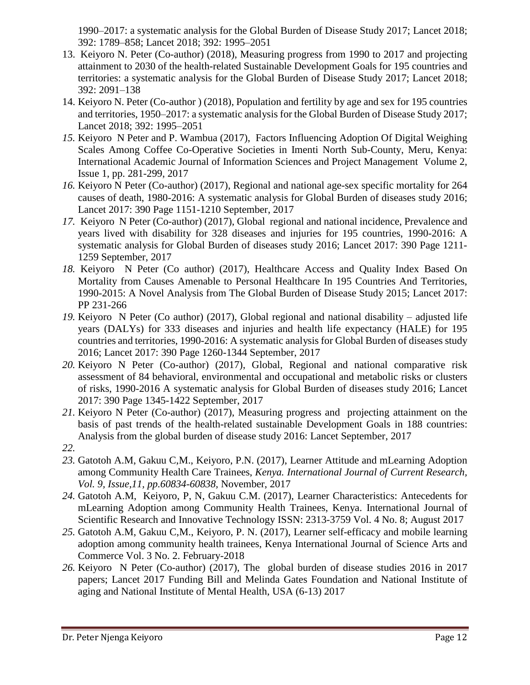1990–2017: a systematic analysis for the Global Burden of Disease Study 2017; Lancet 2018; 392: 1789–858; Lancet 2018; 392: 1995–2051

- 13. Keiyoro N. Peter (Co-author) (2018), Measuring progress from 1990 to 2017 and projecting attainment to 2030 of the health-related Sustainable Development Goals for 195 countries and territories: a systematic analysis for the Global Burden of Disease Study 2017; Lancet 2018; 392: 2091–138
- 14. Keiyoro N. Peter (Co-author ) (2018), Population and fertility by age and sex for 195 countries and territories, 1950–2017: a systematic analysis for the Global Burden of Disease Study 2017; Lancet 2018; 392: 1995–2051
- *15.* Keiyoro N Peter and P. Wambua (2017), Factors Influencing Adoption Of Digital Weighing Scales Among Coffee Co-Operative Societies in Imenti North Sub-County, Meru, Kenya: International Academic Journal of Information Sciences and Project Management Volume 2, Issue 1, pp. 281-299, 2017
- *16.* Keiyoro N Peter (Co-author) (2017), Regional and national age-sex specific mortality for 264 causes of death, 1980-2016: A systematic analysis for Global Burden of diseases study 2016; Lancet 2017: 390 Page 1151-1210 September, 2017
- *17.* Keiyoro N Peter (Co-author) (2017), Global regional and national incidence, Prevalence and years lived with disability for 328 diseases and injuries for 195 countries, 1990-2016: A systematic analysis for Global Burden of diseases study 2016; Lancet 2017: 390 Page 1211- 1259 September, 2017
- *18.* Keiyoro N Peter (Co author) (2017), Healthcare Access and Quality Index Based On Mortality from Causes Amenable to Personal Healthcare In 195 Countries And Territories, 1990-2015: A Novel Analysis from The Global Burden of Disease Study 2015; Lancet 2017: PP 231-266
- *19.* Keiyoro N Peter (Co author) (2017), Global regional and national disability adjusted life years (DALYs) for 333 diseases and injuries and health life expectancy (HALE) for 195 countries and territories, 1990-2016: A systematic analysis for Global Burden of diseases study 2016; Lancet 2017: 390 Page 1260-1344 September, 2017
- *20.* Keiyoro N Peter (Co-author) (2017), Global, Regional and national comparative risk assessment of 84 behavioral, environmental and occupational and metabolic risks or clusters of risks, 1990-2016 A systematic analysis for Global Burden of diseases study 2016; Lancet 2017: 390 Page 1345-1422 September, 2017
- *21.* Keiyoro N Peter (Co-author) (2017), Measuring progress and projecting attainment on the basis of past trends of the health-related sustainable Development Goals in 188 countries: Analysis from the global burden of disease study 2016: Lancet September, 2017
- *22.*
- *23.* Gatotoh A.M, Gakuu C,M., Keiyoro, P.N. (2017), Learner Attitude and mLearning Adoption among Community Health Care Trainees, *Kenya. International Journal of Current Research, Vol. 9, Issue,11, pp.60834-60838,* November, 2017
- *24.* Gatotoh A.M, Keiyoro, P, N, Gakuu C.M. (2017), Learner Characteristics: Antecedents for mLearning Adoption among Community Health Trainees, Kenya. International Journal of Scientific Research and Innovative Technology ISSN: 2313-3759 Vol. 4 No. 8; August 2017
- *25.* Gatotoh A.M, Gakuu C,M., Keiyoro, P. N. (2017), Learner self-efficacy and mobile learning adoption among community health trainees, Kenya International Journal of Science Arts and Commerce Vol. 3 No. 2. February-2018
- *26.* Keiyoro N Peter (Co-author) (2017), The global burden of disease studies 2016 in 2017 papers; Lancet 2017 Funding Bill and Melinda Gates Foundation and National Institute of aging and National Institute of Mental Health, USA (6-13) 2017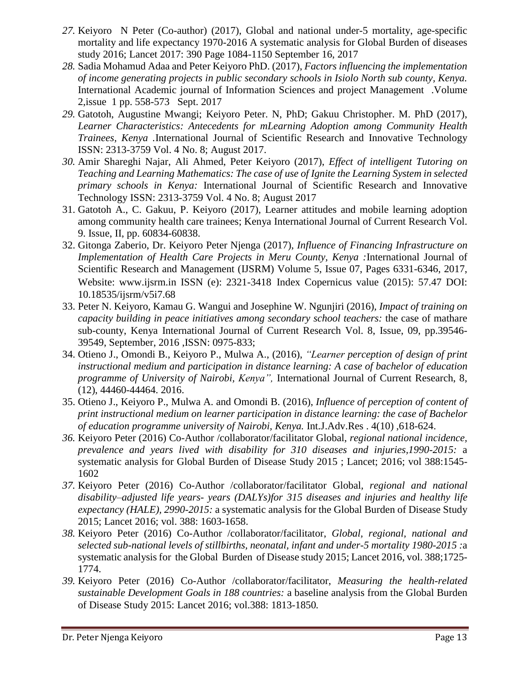- *27.* Keiyoro N Peter (Co-author) (2017), Global and national under-5 mortality, age-specific mortality and life expectancy 1970-2016 A systematic analysis for Global Burden of diseases study 2016; Lancet 2017: 390 Page 1084-1150 September 16, 2017
- *28.* Sadia Mohamud Adaa and Peter Keiyoro PhD. (2017), *Factors influencing the implementation of income generating projects in public secondary schools in Isiolo North sub county, Kenya.* International Academic journal of Information Sciences and project Management .Volume 2,issue 1 pp. 558-573 Sept. 2017
- *29.* Gatotoh, Augustine Mwangi; Keiyoro Peter. N, PhD; Gakuu Christopher. M. PhD (2017), *Learner Characteristics: Antecedents for mLearning Adoption among Community Health Trainees, Kenya .*International Journal of Scientific Research and Innovative Technology ISSN: 2313-3759 Vol. 4 No. 8; August 2017.
- *30.* Amir Shareghi Najar, Ali Ahmed, Peter Keiyoro (2017), *Effect of intelligent Tutoring on Teaching and Learning Mathematics: The case of use of Ignite the Learning System in selected primary schools in Kenya:* International Journal of Scientific Research and Innovative Technology ISSN: 2313-3759 Vol. 4 No. 8; August 2017
- 31. Gatotoh A., C. Gakuu, P. Keiyoro (2017), Learner attitudes and mobile learning adoption among community health care trainees; Kenya International Journal of Current Research Vol. 9. Issue, II, pp. 60834-60838.
- 32. Gitonga Zaberio, Dr. Keiyoro Peter Njenga (2017), *Influence of Financing Infrastructure on Implementation of Health Care Projects in Meru County, Kenya :*International Journal of Scientific Research and Management (IJSRM) Volume 5, Issue 07, Pages 6331-6346, 2017, Website: www.ijsrm.in ISSN (e): 2321-3418 Index Copernicus value (2015): 57.47 DOI: 10.18535/ijsrm/v5i7.68
- 33. Peter N. Keiyoro, Kamau G. Wangui and Josephine W. Ngunjiri (2016)*, Impact of training on capacity building in peace initiatives among secondary school teachers:* the case of mathare sub-county, Kenya International Journal of Current Research Vol. 8, Issue, 09, pp.39546- 39549, September, 2016 ,ISSN: 0975-833;
- 34. Otieno J., Omondi B., Keiyoro P., Mulwa A., (2016), *"Learner perception of design of print instructional medium and participation in distance learning: A case of bachelor of education programme of University of Nairobi, Kenya",* International Journal of Current Research, 8, (12), 44460-44464. 2016.
- 35. Otieno J., Keiyoro P., Mulwa A. and Omondi B. (2016), *Influence of perception of content of print instructional medium on learner participation in distance learning: the case of Bachelor of education programme university of Nairobi, Kenya.* Int.J.Adv.Res . 4(10) ,618-624.
- *36.* Keiyoro Peter (2016) Co-Author /collaborator/facilitator Global, *regional national incidence, prevalence and years lived with disability for 310 diseases and injuries,1990-2015:* a systematic analysis for Global Burden of Disease Study 2015 ; Lancet; 2016; vol 388:1545- 1602
- *37.* Keiyoro Peter (2016) Co-Author /collaborator/facilitator Global*, regional and national disability–adjusted life years- years (DALYs)for 315 diseases and injuries and healthy life expectancy (HALE), 2990-2015:* a systematic analysis for the Global Burden of Disease Study 2015; Lancet 2016; vol. 388: 1603-1658.
- *38.* Keiyoro Peter (2016) Co-Author /collaborator/facilitator, *Global, regional, national and selected sub-national levels of stillbirths, neonatal, infant and under-5 mortality 1980-2015 :*a systematic analysis for the Global Burden of Disease study 2015; Lancet 2016, vol. 388;1725- 1774.
- *39.* Keiyoro Peter (2016) Co-Author /collaborator/facilitator, *Measuring the health-related sustainable Development Goals in 188 countries:* a baseline analysis from the Global Burden of Disease Study 2015: Lancet 2016; vol.388: 1813-1850*.*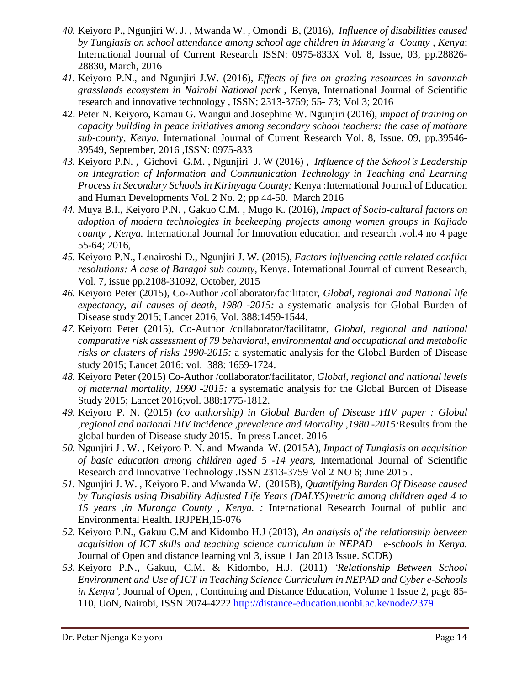- *40.* Keiyoro P., Ngunjiri W. J. , Mwanda W. , Omondi B, (2016), *Influence of disabilities caused by Tungiasis on school attendance among school age children in Murang'a County , Kenya*; International Journal of Current Research ISSN: 0975-833X Vol. 8, Issue, 03, pp.28826- 28830, March, 2016
- *41.* Keiyoro P.N., and Ngunjiri J.W. (2016), *Effects of fire on grazing resources in savannah grasslands ecosystem in Nairobi National park ,* Kenya, International Journal of Scientific research and innovative technology , ISSN; 2313-3759; 55- 73; Vol 3; 2016
- 42. Peter N. Keiyoro, Kamau G. Wangui and Josephine W. Ngunjiri (2016), *impact of training on capacity building in peace initiatives among secondary school teachers: the case of mathare sub-county, Kenya.* International Journal of Current Research Vol. 8, Issue, 09, pp.39546- 39549, September, 2016 ,ISSN: 0975-833
- *43.* Keiyoro P.N. , Gichovi G.M. , Ngunjiri J. W (2016) *, Influence of the School's Leadership on Integration of Information and Communication Technology in Teaching and Learning Process in Secondary Schools in Kirinyaga County;* Kenya :International Journal of Education and Human Developments Vol. 2 No. 2; pp 44-50. March 2016
- *44.* Muya B.I., Keiyoro P.N. , Gakuo C.M. , Mugo K. (2016), *Impact of Socio-cultural factors on adoption of modern technologies in beekeeping projects among women groups in Kajiado county , Kenya.* International Journal for Innovation education and research .vol.4 no 4 page 55-64; 2016,
- *45.* Keiyoro P.N., Lenairoshi D., Ngunjiri J. W*.* (2015), *Factors influencing cattle related conflict resolutions: A case of Baragoi sub county,* Kenya. International Journal of current Research, Vol. 7, issue pp.2108-31092, October, 2015
- *46.* Keiyoro Peter (2015), Co-Author /collaborator/facilitator*, Global, regional and National life expectancy, all causes of death, 1980 -2015:* a systematic analysis for Global Burden of Disease study 2015; Lancet 2016, Vol. 388:1459-1544.
- *47.* Keiyoro Peter (2015), Co-Author /collaborator/facilitator*, Global, regional and national comparative risk assessment of 79 behavioral, environmental and occupational and metabolic risks or clusters of risks 1990-2015:* a systematic analysis for the Global Burden of Disease study 2015; Lancet 2016: vol. 388: 1659-1724.
- *48.* Keiyoro Peter (2015) Co-Author /collaborator/facilitator, *Global, regional and national levels of maternal mortality, 1990 -2015:* a systematic analysis for the Global Burden of Disease Study 2015; Lancet 2016;vol. 388:1775-1812.
- *49.* Keiyoro P. N. (2015) *(co authorship) in Global Burden of Disease HIV paper : Global ,regional and national HIV incidence ,prevalence and Mortality ,1980 -2015:*Results from the global burden of Disease study 2015. In press Lancet. 2016
- *50.* Ngunjiri J . W. , Keiyoro P. N. and Mwanda W. (2015A), *Impact of Tungiasis on acquisition of basic education among children aged 5 -14 years,* International Journal of Scientific Research and Innovative Technology .ISSN 2313-3759 Vol 2 NO 6; June 2015 .
- *51.* Ngunjiri J. W. , Keiyoro P. and Mwanda W. (2015B), *Quantifying Burden Of Disease caused by Tungiasis using Disability Adjusted Life Years (DALYS)metric among children aged 4 to 15 years ,in Muranga County , Kenya. :* International Research Journal of public and Environmental Health. IRJPEH,15-076
- *52.* Keiyoro P.N., Gakuu C.M and Kidombo H.J (2013), *An analysis of the relationship between acquisition of ICT skills and teaching science curriculum in NEPAD e-schools in Kenya.*  Journal of Open and distance learning vol 3, issue 1 Jan 2013 Issue. SCDE)
- *53.* Keiyoro P.N., Gakuu, C.M. & Kidombo, H.J. (2011) *'Relationship Between School Environment and Use of ICT in Teaching Science Curriculum in NEPAD and Cyber e-Schools in Kenya',* Journal of Open, , Continuing and Distance Education, Volume 1 Issue 2, page 85- 110, UoN, Nairobi, ISSN 2074-4222 <http://distance-education.uonbi.ac.ke/node/2379>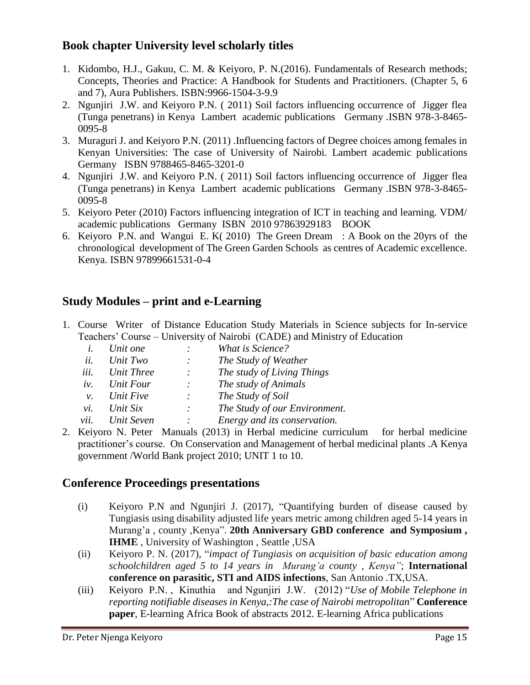#### **Book chapter University level scholarly titles**

- 1. Kidombo, H.J., Gakuu, C. M. & Keiyoro, P. N.(2016). Fundamentals of Research methods; Concepts, Theories and Practice: A Handbook for Students and Practitioners. (Chapter 5, 6 and 7), Aura Publishers. ISBN:9966-1504-3-9.9
- 2. Ngunjiri J.W. and Keiyoro P.N. ( 2011) Soil factors influencing occurrence of Jigger flea (Tunga penetrans) in Kenya Lambert academic publications Germany .ISBN 978-3-8465- 0095-8
- 3. Muraguri J. and Keiyoro P.N. (2011) .Influencing factors of Degree choices among females in Kenyan Universities: The case of University of Nairobi. Lambert academic publications Germany ISBN 9788465-8465-3201-0
- 4. Ngunjiri J.W. and Keiyoro P.N. ( 2011) Soil factors influencing occurrence of Jigger flea (Tunga penetrans) in Kenya Lambert academic publications Germany .ISBN 978-3-8465- 0095-8
- 5. Keiyoro Peter (2010) Factors influencing integration of ICT in teaching and learning. VDM/ academic publications Germany ISBN 2010 97863929183 BOOK
- 6. Keiyoro P.N. and Wangui E. K( 2010) The Green Dream : A Book on the 20yrs of the chronological development of The Green Garden Schools as centres of Academic excellence. Kenya. ISBN 97899661531-0-4

# **Study Modules – print and e-Learning**

1. Course Writer of Distance Education Study Materials in Science subjects for In-service Teachers' Course – University of Nairobi (CADE) and Ministry of Education

|             | r eachers course  |         | $\epsilon$ and $\epsilon$ and $\epsilon$ and $\epsilon$ and $\epsilon$ and $\epsilon$ and $\epsilon$ and $\epsilon$ and $\epsilon$ and $\epsilon$ and $\epsilon$ and $\epsilon$ and $\epsilon$ and $\epsilon$ and $\epsilon$ and $\epsilon$ and $\epsilon$ and $\epsilon$ and $\epsilon$ and $\epsilon$ and $\epsilon$ and $\epsilon$ and $\epsilon$ and $\epsilon$ and $\epsilon$ |
|-------------|-------------------|---------|------------------------------------------------------------------------------------------------------------------------------------------------------------------------------------------------------------------------------------------------------------------------------------------------------------------------------------------------------------------------------------|
| $l_{\cdot}$ | Unit one          |         | What is Science?                                                                                                                                                                                                                                                                                                                                                                   |
| ii.         | Unit Two          | $\cdot$ | The Study of Weather                                                                                                                                                                                                                                                                                                                                                               |
| iii.        | <b>Unit Three</b> |         | The study of Living Things                                                                                                                                                                                                                                                                                                                                                         |
| iv.         | Unit Four         | $\cdot$ | The study of Animals                                                                                                                                                                                                                                                                                                                                                               |
| ν.          | Unit Five         | $\cdot$ | The Study of Soil                                                                                                                                                                                                                                                                                                                                                                  |
| vi.         | Unit Six          |         | The Study of our Environment.                                                                                                                                                                                                                                                                                                                                                      |
| vii.        | Unit Seven        |         | Energy and its conservation.                                                                                                                                                                                                                                                                                                                                                       |
|             |                   |         |                                                                                                                                                                                                                                                                                                                                                                                    |

2. Keiyoro N. Peter Manuals (2013) in Herbal medicine curriculum for herbal medicine practitioner's course. On Conservation and Management of herbal medicinal plants .A Kenya government /World Bank project 2010; UNIT 1 to 10.

#### **Conference Proceedings presentations**

- (i) Keiyoro P.N and Ngunjiri J. (2017), "Quantifying burden of disease caused by Tungiasis using disability adjusted life years metric among children aged 5-14 years in Murang'a , county ,Kenya". **20th Anniversary GBD conference and Symposium , IHME** , University of Washington , Seattle ,USA
- (ii) Keiyoro P. N. (2017), "*impact of Tungiasis on acquisition of basic education among schoolchildren aged 5 to 14 years in Murang'a county , Kenya"*; **International conference on parasitic, STI and AIDS infections**, San Antonio .TX,USA.
- (iii) Keiyoro P.N. , Kinuthia and Ngunjiri J.W. (2012) "*Use of Mobile Telephone in reporting notifiable diseases in Kenya,:The case of Nairobi metropolitan*" **Conference paper**, E-learning Africa Book of abstracts 2012. E-learning Africa publications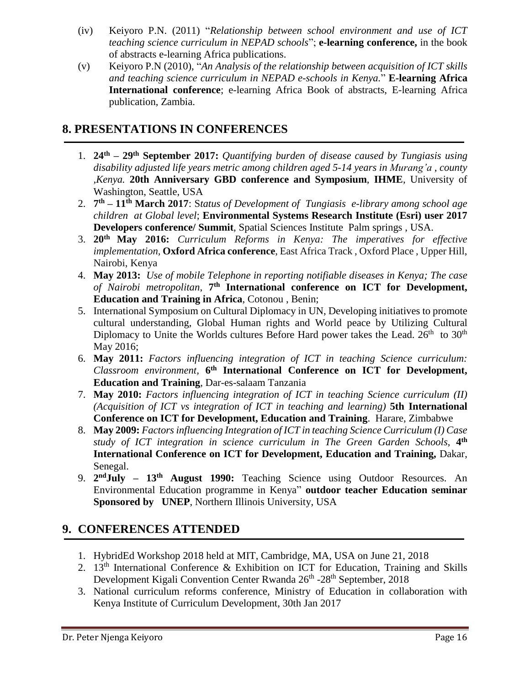- (iv) Keiyoro P.N. (2011) "*Relationship between school environment and use of ICT teaching science curriculum in NEPAD schools*"; **e-learning conference,** in the book of abstracts e-learning Africa publications.
- (v) Keiyoro P.N (2010), "*An Analysis of the relationship between acquisition of ICT skills and teaching science curriculum in NEPAD e-schools in Kenya.*" **E-learning Africa International conference**; e-learning Africa Book of abstracts, E-learning Africa publication, Zambia.

# <span id="page-15-0"></span>**8. PRESENTATIONS IN CONFERENCES**

- 1. **24th – 29th September 2017:** *Quantifying burden of disease caused by Tungiasis using disability adjusted life years metric among children aged 5-14 years in Murang'a , county ,Kenya.* **20th Anniversary GBD conference and Symposium**, **IHME**, University of Washington, Seattle, USA
- 2. **7 th – 11th March 2017**: S*tatus of Development of Tungiasis e-library among school age children at Global level*; **Environmental Systems Research Institute (Esri) user 2017 Developers conference/ Summit**, Spatial Sciences Institute Palm springs , USA.
- 3. **20th May 2016:** *Curriculum Reforms in Kenya: The imperatives for effective implementation,* **Oxford Africa conference**, East Africa Track , Oxford Place , Upper Hill, Nairobi, Kenya
- 4. **May 2013:** *Use of mobile Telephone in reporting notifiable diseases in Kenya; The case of Nairobi metropolitan*, **7 th International conference on ICT for Development, Education and Training in Africa**, Cotonou , Benin;
- 5. International Symposium on Cultural Diplomacy in UN, Developing initiatives to promote cultural understanding, Global Human rights and World peace by Utilizing Cultural Diplomacy to Unite the Worlds cultures Before Hard power takes the Lead.  $26<sup>th</sup>$  to  $30<sup>th</sup>$ May 2016;
- 6. **May 2011:** *Factors influencing integration of ICT in teaching Science curriculum: Classroom environment,* **6 th International Conference on ICT for Development, Education and Training**, Dar-es-salaam Tanzania
- 7. **May 2010:** *Factors influencing integration of ICT in teaching Science curriculum (II) (Acquisition of ICT vs integration of ICT in teaching and learning)* **5th International Conference on ICT for Development, Education and Training**. Harare, Zimbabwe
- 8. **May 2009:** *Factors influencing Integration of ICT in teaching Science Curriculum (I) Case study of ICT integration in science curriculum in The Green Garden Schools*, **4 th International Conference on ICT for Development, Education and Training,** Dakar, Senegal.
- 9. **2 ndJuly – 13th August 1990:** Teaching Science using Outdoor Resources. An Environmental Education programme in Kenya" **outdoor teacher Education seminar Sponsored by UNEP**, Northern Illinois University, USA

# <span id="page-15-1"></span>**9. CONFERENCES ATTENDED**

- 1. HybridEd Workshop 2018 held at MIT, Cambridge, MA, USA on June 21, 2018
- 2.  $13<sup>th</sup>$  International Conference & Exhibition on ICT for Education, Training and Skills Development Kigali Convention Center Rwanda 26<sup>th</sup> -28<sup>th</sup> September, 2018
- 3. National curriculum reforms conference, Ministry of Education in collaboration with Kenya Institute of Curriculum Development, 30th Jan 2017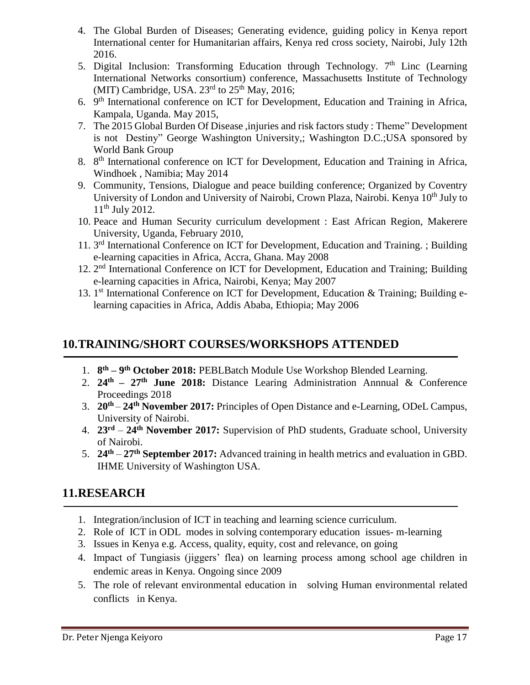- 4. The Global Burden of Diseases; Generating evidence, guiding policy in Kenya report International center for Humanitarian affairs, Kenya red cross society, Nairobi, July 12th 2016.
- 5. Digital Inclusion: Transforming Education through Technology.  $7<sup>th</sup>$  Linc (Learning International Networks consortium) conference, Massachusetts Institute of Technology (MIT) Cambridge, USA.  $23<sup>rd</sup>$  to  $25<sup>th</sup>$  May, 2016;
- 6. 9<sup>th</sup> International conference on ICT for Development, Education and Training in Africa, Kampala, Uganda. May 2015,
- 7. The 2015 Global Burden Of Disease ,injuries and risk factors study : Theme" Development is not Destiny" George Washington University,; Washington D.C.;USA sponsored by World Bank Group
- 8. 8<sup>th</sup> International conference on ICT for Development, Education and Training in Africa, Windhoek , Namibia; May 2014
- 9. Community, Tensions, Dialogue and peace building conference; Organized by Coventry University of London and University of Nairobi, Crown Plaza, Nairobi. Kenya 10<sup>th</sup> July to  $11<sup>th</sup>$  July 2012.
- 10. Peace and Human Security curriculum development : East African Region, Makerere University, Uganda, February 2010,
- 11. 3<sup>rd</sup> International Conference on ICT for Development, Education and Training. ; Building e-learning capacities in Africa, Accra, Ghana. May 2008
- 12. 2<sup>nd</sup> International Conference on ICT for Development, Education and Training; Building e-learning capacities in Africa, Nairobi, Kenya; May 2007
- 13. 1<sup>st</sup> International Conference on ICT for Development, Education & Training; Building elearning capacities in Africa, Addis Ababa, Ethiopia; May 2006

# <span id="page-16-0"></span>**10.TRAINING/SHORT COURSES/WORKSHOPS ATTENDED**

- 1. **8 th – 9 th October 2018:** PEBLBatch Module Use Workshop Blended Learning.
- 2. **24th – 27th June 2018:** Distance Learing Administration Annnual & Conference Proceedings 2018
- 3. **20th 24th November 2017:** Principles of Open Distance and e-Learning, ODeL Campus, University of Nairobi.
- 4. **23rd 24th November 2017:** Supervision of PhD students, Graduate school, University of Nairobi.
- 5. **24th 27th September 2017:** Advanced training in health metrics and evaluation in GBD. IHME University of Washington USA.

## <span id="page-16-1"></span>**11.RESEARCH**

- 1. Integration/inclusion of ICT in teaching and learning science curriculum.
- 2. Role of ICT in ODL modes in solving contemporary education issues- m-learning
- 3. Issues in Kenya e.g. Access, quality, equity, cost and relevance, on going
- 4. Impact of Tungiasis (jiggers' flea) on learning process among school age children in endemic areas in Kenya. Ongoing since 2009
- 5. The role of relevant environmental education in solving Human environmental related conflicts in Kenya.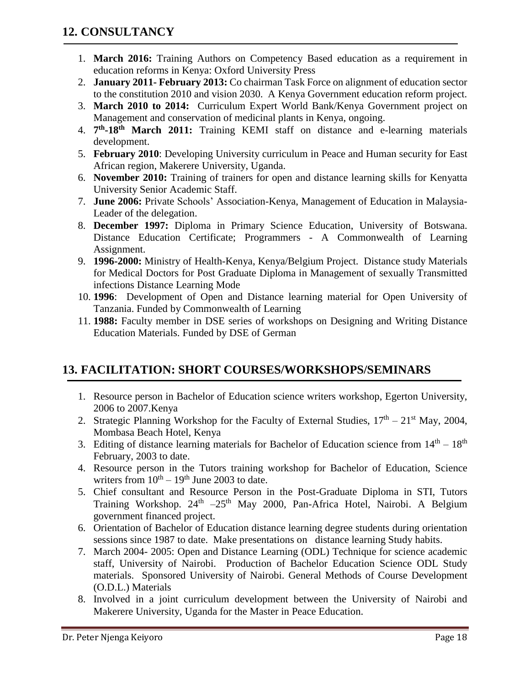- <span id="page-17-0"></span>1. **March 2016:** Training Authors on Competency Based education as a requirement in education reforms in Kenya: Oxford University Press
- 2. **January 2011- February 2013:** Co chairman Task Force on alignment of education sector to the constitution 2010 and vision 2030. A Kenya Government education reform project.
- 3. **March 2010 to 2014:** Curriculum Expert World Bank/Kenya Government project on Management and conservation of medicinal plants in Kenya, ongoing.
- 4. **7 th -18th March 2011:** Training KEMI staff on distance and e-learning materials development.
- 5. **February 2010**: Developing University curriculum in Peace and Human security for East African region, Makerere University, Uganda.
- 6. **November 2010:** Training of trainers for open and distance learning skills for Kenyatta University Senior Academic Staff.
- 7. **June 2006:** Private Schools' Association-Kenya, Management of Education in Malaysia-Leader of the delegation.
- 8. **December 1997:** Diploma in Primary Science Education, University of Botswana. Distance Education Certificate; Programmers - A Commonwealth of Learning Assignment.
- 9. **1996-2000:** Ministry of Health-Kenya, Kenya/Belgium Project. Distance study Materials for Medical Doctors for Post Graduate Diploma in Management of sexually Transmitted infections Distance Learning Mode
- 10. **1996**: Development of Open and Distance learning material for Open University of Tanzania. Funded by Commonwealth of Learning
- 11. **1988:** Faculty member in DSE series of workshops on Designing and Writing Distance Education Materials. Funded by DSE of German

# <span id="page-17-1"></span>**13. FACILITATION: SHORT COURSES/WORKSHOPS/SEMINARS**

- 1. Resource person in Bachelor of Education science writers workshop, Egerton University, 2006 to 2007.Kenya
- 2. Strategic Planning Workshop for the Faculty of External Studies,  $17<sup>th</sup> 21<sup>st</sup>$  May, 2004, Mombasa Beach Hotel, Kenya
- 3. Editing of distance learning materials for Bachelor of Education science from  $14<sup>th</sup> 18<sup>th</sup>$ February, 2003 to date.
- 4. Resource person in the Tutors training workshop for Bachelor of Education, Science writers from  $10^{th} - 19^{th}$  June 2003 to date.
- 5. Chief consultant and Resource Person in the Post-Graduate Diploma in STI, Tutors Training Workshop. 24<sup>th</sup> -25<sup>th</sup> May 2000, Pan-Africa Hotel, Nairobi. A Belgium government financed project.
- 6. Orientation of Bachelor of Education distance learning degree students during orientation sessions since 1987 to date. Make presentations on distance learning Study habits.
- 7. March 2004- 2005: Open and Distance Learning (ODL) Technique for science academic staff, University of Nairobi. Production of Bachelor Education Science ODL Study materials. Sponsored University of Nairobi. General Methods of Course Development (O.D.L.) Materials
- 8. Involved in a joint curriculum development between the University of Nairobi and Makerere University, Uganda for the Master in Peace Education.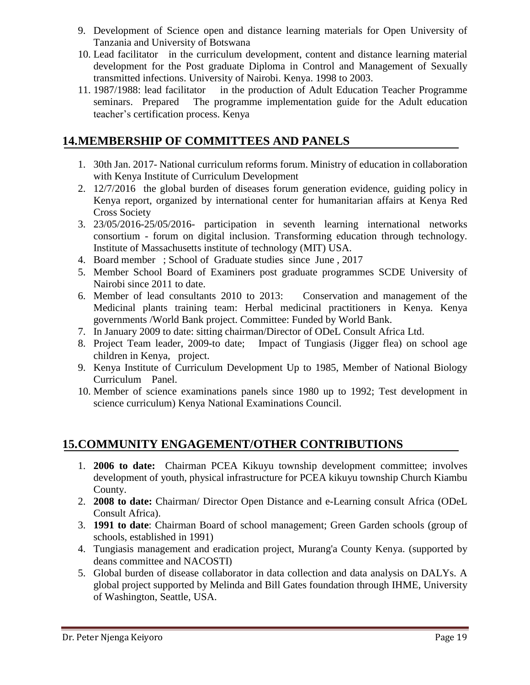- 9. Development of Science open and distance learning materials for Open University of Tanzania and University of Botswana
- 10. Lead facilitator in the curriculum development, content and distance learning material development for the Post graduate Diploma in Control and Management of Sexually transmitted infections. University of Nairobi. Kenya. 1998 to 2003.
- 11. 1987/1988: lead facilitator in the production of Adult Education Teacher Programme seminars. Prepared The programme implementation guide for the Adult education teacher's certification process. Kenya

# <span id="page-18-0"></span>**14.MEMBERSHIP OF COMMITTEES AND PANELS**

- 1. 30th Jan. 2017- National curriculum reforms forum. Ministry of education in collaboration with Kenya Institute of Curriculum Development
- 2. 12/7/2016 the global burden of diseases forum generation evidence, guiding policy in Kenya report, organized by international center for humanitarian affairs at Kenya Red Cross Society
- 3. 23/05/2016-25/05/2016- participation in seventh learning international networks consortium - forum on digital inclusion. Transforming education through technology. Institute of Massachusetts institute of technology (MIT) USA.
- 4. Board member ; School of Graduate studies since June , 2017
- 5. Member School Board of Examiners post graduate programmes SCDE University of Nairobi since 2011 to date.
- 6. Member of lead consultants 2010 to 2013: Conservation and management of the Medicinal plants training team: Herbal medicinal practitioners in Kenya. Kenya governments /World Bank project. Committee: Funded by World Bank.
- 7. In January 2009 to date: sitting chairman/Director of ODeL Consult Africa Ltd.
- 8. Project Team leader, 2009-to date; Impact of Tungiasis (Jigger flea) on school age children in Kenya, project.
- 9. Kenya Institute of Curriculum Development Up to 1985, Member of National Biology Curriculum Panel.
- 10. Member of science examinations panels since 1980 up to 1992; Test development in science curriculum) Kenya National Examinations Council.

# <span id="page-18-1"></span>**15.COMMUNITY ENGAGEMENT/OTHER CONTRIBUTIONS**

- 1. **2006 to date:** Chairman PCEA Kikuyu township development committee; involves development of youth, physical infrastructure for PCEA kikuyu township Church Kiambu County.
- 2. **2008 to date:** Chairman/ Director Open Distance and e-Learning consult Africa (ODeL Consult Africa).
- 3. **1991 to date**: Chairman Board of school management; Green Garden schools (group of schools, established in 1991)
- 4. Tungiasis management and eradication project, Murang'a County Kenya. (supported by deans committee and NACOSTI)
- 5. Global burden of disease collaborator in data collection and data analysis on DALYs. A global project supported by Melinda and Bill Gates foundation through IHME, University of Washington, Seattle, USA.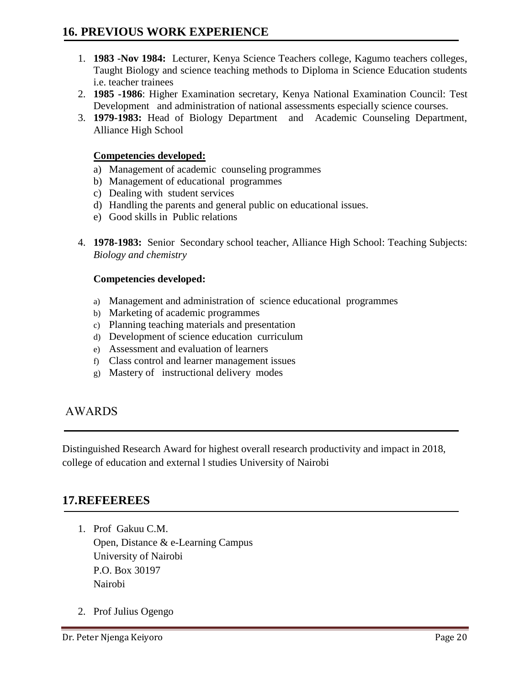- <span id="page-19-0"></span>1. **1983 -Nov 1984:** Lecturer, Kenya Science Teachers college, Kagumo teachers colleges, Taught Biology and science teaching methods to Diploma in Science Education students i.e. teacher trainees
- 2. **1985 -1986**: Higher Examination secretary, Kenya National Examination Council: Test Development and administration of national assessments especially science courses.
- 3. **1979-1983:** Head of Biology Department and Academic Counseling Department, Alliance High School

#### **Competencies developed:**

- a) Management of academic counseling programmes
- b) Management of educational programmes
- c) Dealing with student services
- d) Handling the parents and general public on educational issues.
- e) Good skills in Public relations
- 4. **1978-1983:** Senior Secondary school teacher, Alliance High School: Teaching Subjects: *Biology and chemistry*

#### **Competencies developed:**

- a) Management and administration of science educational programmes
- b) Marketing of academic programmes
- c) Planning teaching materials and presentation
- d) Development of science education curriculum
- e) Assessment and evaluation of learners
- f) Class control and learner management issues
- g) Mastery of instructional delivery modes

#### <span id="page-19-1"></span>AWARDS

Distinguished Research Award for highest overall research productivity and impact in 2018, college of education and external l studies University of Nairobi

#### <span id="page-19-2"></span>**17.REFEEREES**

- 1. Prof Gakuu C.M. Open, Distance & e-Learning Campus University of Nairobi P.O. Box 30197 Nairobi
- 2. Prof Julius Ogengo